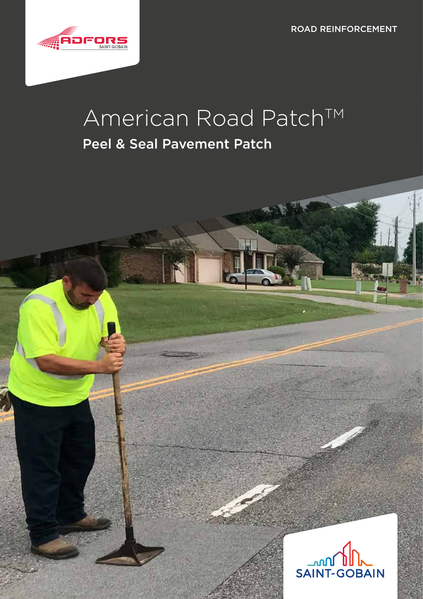ROAD REINFORCEMENT



# American Road Patch™

### Peel & Seal Pavement Patch

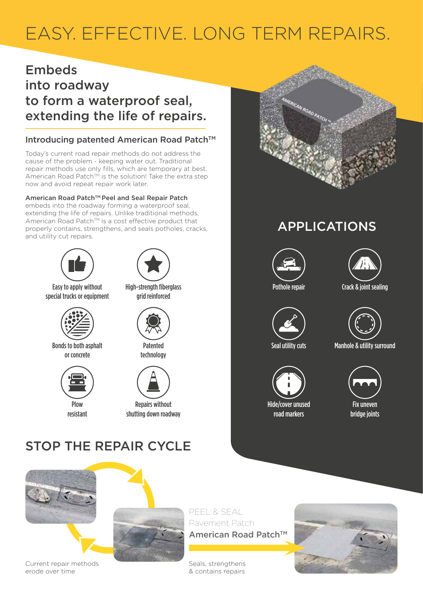## EASY. EFFECTIVE. LONG TERM REPAIRS.

#### Embeds into roadway to form a waterproof seal,

### extending the life of repairs.

#### Introducing patented American Road Patch™

Today's current road repair methods do not address the cause of the problem - keeping water out. Traditional repair methods use only fills, which are temporary at best. American Road Patch™ is the solution! Take the extra step now and avoid repeat repair work later.

#### American Road Patch™ Peel and Seal Repair Patch

embeds into the roadway forming a waterproof seal, extending the life of repairs. Unlike traditional methods, American Road Patch™ is a cost effective product that properly contains, strengthens, and seals potholes, cracks, and utility cut repairs.





Easy to apply without Pothole repair Crack & joint sealing High-strength fiberglass special trucks or equipment



Bonds to both asphalt or concrete



resistant



Patented technology



Repairs without shutting down roadway

### STOP THE REPAIR CYCLE





PEEL & SEAL Pavement Patch American Road Patch™

Seals, strengthens & contains repairs



#### APPLICATIONS









Seal utility cuts Manhole & utility surround



Hide/cover unused road markers



Fix uneven bridge joints



Current repair methods erode over time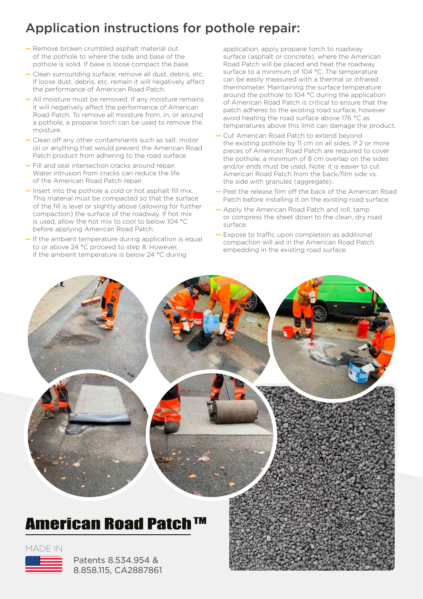### Application instructions for pothole repair:

- Remove broken crumbled asphalt material out of the pothole to where the side and base of the pothole is solid. If base is loose compact the base.
- Clean surrounding surface; remove all dust, debris, etc. If loose dust, debris, etc. remain it will negatively affect the performance of American Road Patch.
- All moisture must be removed. If any moisture remains it will negatively affect the performance of American Road Patch. To remove all moisture from, in, or around a pothole, a propane torch can be used to remove the moisture.
- Clean off any other contaminants such as salt, motor oil or anything that would prevent the American Road Patch product from adhering to the road surface.
- Fill and seal intersection cracks around repair. Water intrusion from cracks can reduce the life of the American Road Patch repair.
- Insert into the pothole a cold or hot asphalt fill mix. This material must be compacted so that the surface of the fill is level or slightly above (allowing for further compaction) the surface of the roadway. If hot mix is used, allow the hot mix to cool to below 104 °C before applying American Road Patch.
- If the ambient temperature during application is equal to or above 24 °C proceed to step 8. However, if the ambient temperature is below 24 °C during

application, apply propane torch to roadway surface (asphalt or concrete), where the American Road Patch will be placed and heat the roadway surface to a minimum of 104 °C. The temperature can be easily measured with a thermal or infrared thermometer. Maintaining the surface temperature around the pothole to 104 °C during the application of American Road Patch is critical to ensure that the patch adheres to the existing road surface, however avoid heating the road surface above 176 °C as temperatures above this limit can damage the product.

- Cut American Road Patch to extend beyond the existing pothole by 11 cm on all sides. If 2 or more pieces of American Road Patch are required to cover the pothole, a minimum of 8 cm overlap on the sides and/or ends must be used. Note: it is easier to cut American Road Patch from the back/film side vs. the side with granules (aggregate).
- Peel the release film off the back of the American Road Patch before installing it on the existing road surface.
- Apply the American Road Patch and roll, tamp or compress the sheet down to the clean, dry road surface.
- Expose to traffic upon completion as additional compaction will aid in the American Road Patch embedding in the existing road surface.



#### MADE IN



Patents 8.534.954 & 8.858.115, CA2887861